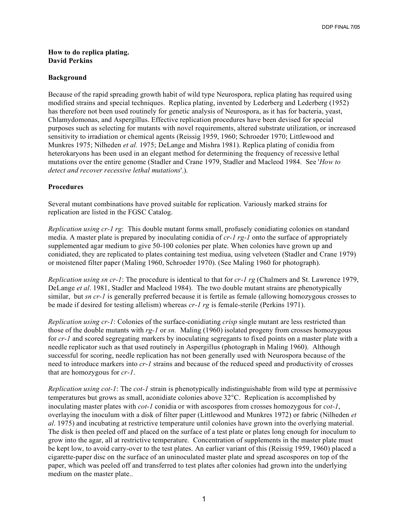## **How to do replica plating. David Perkins**

## **Background**

Because of the rapid spreading growth habit of wild type Neurospora, replica plating has required using modified strains and special techniques. Replica plating, invented by Lederberg and Lederberg (1952) has therefore not been used routinely for genetic analysis of Neurospora, as it has for bacteria, yeast, Chlamydomonas, and Aspergillus. Effective replication procedures have been devised for special purposes such as selecting for mutants with novel requirements, altered substrate utilization, or increased sensitivity to irradiation or chemical agents (Reissig 1959, 1960; Schroeder 1970; Littlewood and Munkres 1975; Nilheden *et al.* 1975; DeLange and Mishra 1981). Replica plating of conidia from heterokaryons has been used in an elegant method for determining the frequency of recessive lethal mutations over the entire genome (Stadler and Crane 1979, Stadler and Macleod 1984. See '*How to detect and recover recessive lethal mutations*'.).

## **Procedures**

Several mutant combinations have proved suitable for replication. Variously marked strains for replication are listed in the FGSC Catalog.

*Replication using cr-1 rg*: This double mutant forms small, profusely conidiating colonies on standard media. A master plate is prepared by inoculating conidia of *cr-1 rg-1* onto the surface of appropriately supplemented agar medium to give 50-100 colonies per plate. When colonies have grown up and conidiated, they are replicated to plates containing test mediua, using velveteen (Stadler and Crane 1979) or moistened filter paper (Maling 1960, Schroeder 1970). (See Maling 1960 for photograph).

*Replication using sn cr-1*: The procedure is identical to that for *cr-1 rg* (Chalmers and St. Lawrence 1979, DeLange *et al*. 1981, Stadler and Macleod 1984). The two double mutant strains are phenotypically similar, but *sn cr-1* is generally preferred because it is fertile as female (allowing homozygous crosses to be made if desired for testing allelism) whereas *cr-1 rg* is female-sterile (Perkins 1971).

*Replication using cr-1*: Colonies of the surface-conidiating *crisp* single mutant are less restricted than those of the double mutants with *rg-1* or *sn.* Maling (1960) isolated progeny from crosses homozygous for *cr-1* and scored segregating markers by inoculating segregants to fixed points on a master plate with a needle replicator such as that used routinely in Aspergillus (photograph in Maling 1960). Although successful for scoring, needle replication has not been generally used with Neurospora because of the need to introduce markers into *cr-1* strains and because of the reduced speed and productivity of crosses that are homozygous for *cr-1*.

*Replication using cot-1*: The *cot-1* strain is phenotypically indistinguishable from wild type at permissive temperatures but grows as small, aconidiate colonies above 32°C. Replication is accomplished by inoculating master plates with *cot-1* conidia or with ascospores from crosses homozygous for *cot-1*, overlaying the inoculum with a disk of filter paper (Littlewood and Munkres 1972) or fabric (Nilheden *et al*. 1975) and incubating at restrictive temperature until colonies have grown into the overlying material. The disk is then peeled off and placed on the surface of a test plate or plates long enough for inoculum to grow into the agar, all at restrictive temperature. Concentration of supplements in the master plate must be kept low, to avoid carry-over to the test plates. An earlier variant of this (Reissig 1959, 1960) placed a cigarette-paper disc on the surface of an uninoculated master plate and spread ascospores on top of the paper, which was peeled off and transferred to test plates after colonies had grown into the underlying medium on the master plate..